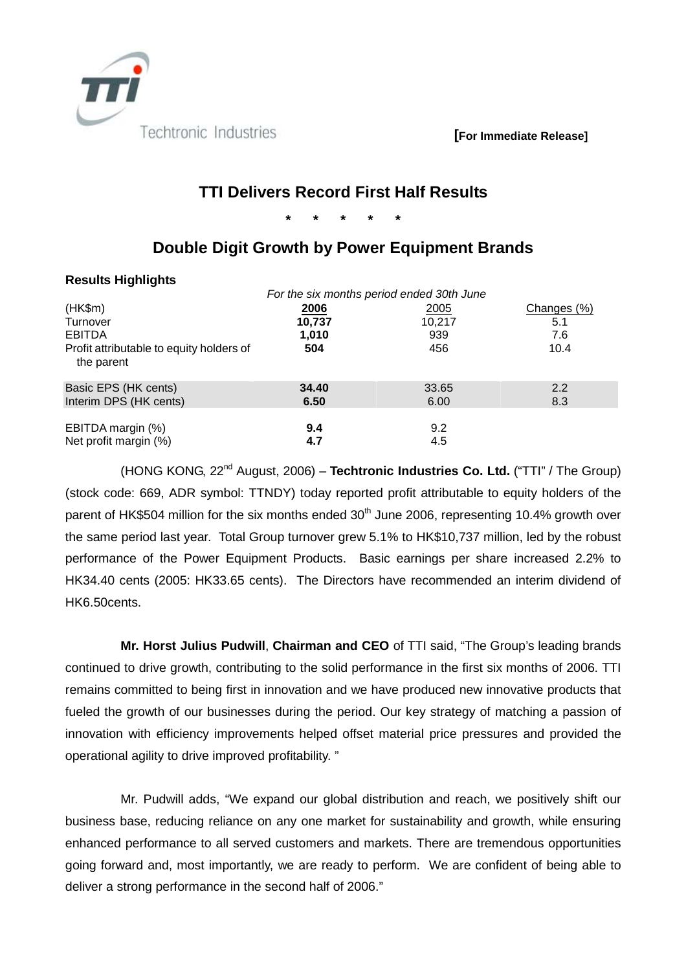

 **[For Immediate Release]** 

# **TTI Delivers Record First Half Results**

**\* \* \* \* \*** 

# **Double Digit Growth by Power Equipment Brands**

## **Results Highlights**

|                                                        | For the six months period ended 30th June |            |             |  |
|--------------------------------------------------------|-------------------------------------------|------------|-------------|--|
| (HK\$m)                                                | 2006                                      | 2005       | Changes (%) |  |
| Turnover                                               | 10,737                                    | 10,217     | 5.1         |  |
| <b>EBITDA</b>                                          | 1,010                                     | 939        | 7.6         |  |
| Profit attributable to equity holders of<br>the parent | 504                                       | 456        | 10.4        |  |
| Basic EPS (HK cents)                                   | 34.40                                     | 33.65      | 2.2         |  |
| Interim DPS (HK cents)                                 | 6.50                                      | 6.00       | 8.3         |  |
| EBITDA margin (%)<br>Net profit margin (%)             | 9.4<br>4.7                                | 9.2<br>4.5 |             |  |

(HONG KONG, 22nd August, 2006) – **Techtronic Industries Co. Ltd.** ("TTI" / The Group) (stock code: 669, ADR symbol: TTNDY) today reported profit attributable to equity holders of the parent of HK\$504 million for the six months ended  $30<sup>th</sup>$  June 2006, representing 10.4% growth over the same period last year. Total Group turnover grew 5.1% to HK\$10,737 million, led by the robust performance of the Power Equipment Products. Basic earnings per share increased 2.2% to HK34.40 cents (2005: HK33.65 cents). The Directors have recommended an interim dividend of HK6.50cents.

**Mr. Horst Julius Pudwill**, **Chairman and CEO** of TTI said, "The Group's leading brands continued to drive growth, contributing to the solid performance in the first six months of 2006. TTI remains committed to being first in innovation and we have produced new innovative products that fueled the growth of our businesses during the period. Our key strategy of matching a passion of innovation with efficiency improvements helped offset material price pressures and provided the operational agility to drive improved profitability. "

Mr. Pudwill adds, "We expand our global distribution and reach, we positively shift our business base, reducing reliance on any one market for sustainability and growth, while ensuring enhanced performance to all served customers and markets. There are tremendous opportunities going forward and, most importantly, we are ready to perform. We are confident of being able to deliver a strong performance in the second half of 2006."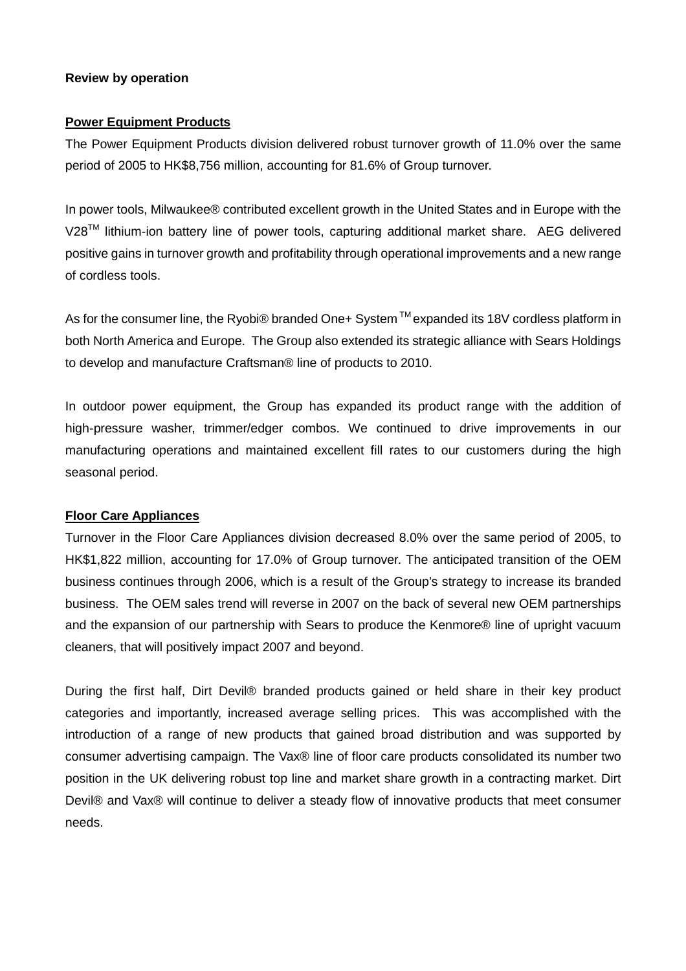## **Review by operation**

### **Power Equipment Products**

The Power Equipment Products division delivered robust turnover growth of 11.0% over the same period of 2005 to HK\$8,756 million, accounting for 81.6% of Group turnover.

In power tools, Milwaukee® contributed excellent growth in the United States and in Europe with the V28<sup>™</sup> lithium-ion battery line of power tools, capturing additional market share. AEG delivered positive gains in turnover growth and profitability through operational improvements and a new range of cordless tools.

As for the consumer line, the Ryobi® branded One+ System ™ expanded its 18V cordless platform in both North America and Europe. The Group also extended its strategic alliance with Sears Holdings to develop and manufacture Craftsman® line of products to 2010.

In outdoor power equipment, the Group has expanded its product range with the addition of high-pressure washer, trimmer/edger combos. We continued to drive improvements in our manufacturing operations and maintained excellent fill rates to our customers during the high seasonal period.

# **Floor Care Appliances**

Turnover in the Floor Care Appliances division decreased 8.0% over the same period of 2005, to HK\$1,822 million, accounting for 17.0% of Group turnover. The anticipated transition of the OEM business continues through 2006, which is a result of the Group's strategy to increase its branded business. The OEM sales trend will reverse in 2007 on the back of several new OEM partnerships and the expansion of our partnership with Sears to produce the Kenmore® line of upright vacuum cleaners, that will positively impact 2007 and beyond.

During the first half, Dirt Devil® branded products gained or held share in their key product categories and importantly, increased average selling prices. This was accomplished with the introduction of a range of new products that gained broad distribution and was supported by consumer advertising campaign. The Vax® line of floor care products consolidated its number two position in the UK delivering robust top line and market share growth in a contracting market. Dirt Devil® and Vax® will continue to deliver a steady flow of innovative products that meet consumer needs.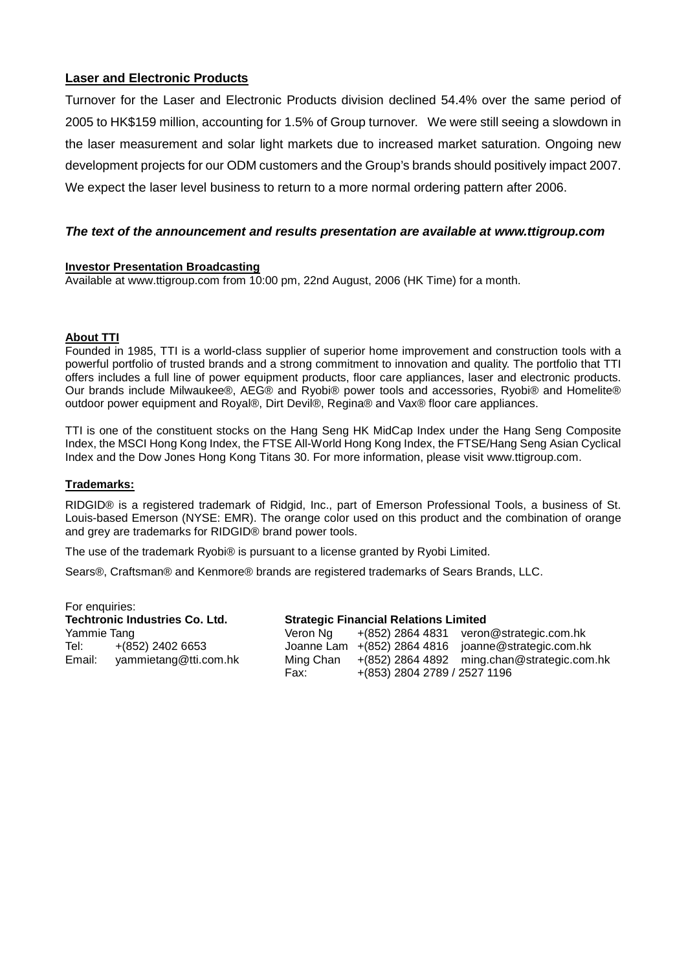## **Laser and Electronic Products**

Turnover for the Laser and Electronic Products division declined 54.4% over the same period of 2005 to HK\$159 million, accounting for 1.5% of Group turnover. We were still seeing a slowdown in the laser measurement and solar light markets due to increased market saturation. Ongoing new development projects for our ODM customers and the Group's brands should positively impact 2007. We expect the laser level business to return to a more normal ordering pattern after 2006.

### *The text of the announcement and results presentation are available at www.ttigroup.com*

#### **Investor Presentation Broadcasting**

Available at www.ttigroup.com from 10:00 pm, 22nd August, 2006 (HK Time) for a month.

#### **About TTI**

Founded in 1985, TTI is a world-class supplier of superior home improvement and construction tools with a powerful portfolio of trusted brands and a strong commitment to innovation and quality. The portfolio that TTI offers includes a full line of power equipment products, floor care appliances, laser and electronic products. Our brands include Milwaukee®, AEG® and Ryobi® power tools and accessories, Ryobi® and Homelite® outdoor power equipment and Royal®, Dirt Devil®, Regina® and Vax® floor care appliances.

TTI is one of the constituent stocks on the Hang Seng HK MidCap Index under the Hang Seng Composite Index, the MSCI Hong Kong Index, the FTSE All-World Hong Kong Index, the FTSE/Hang Seng Asian Cyclical Index and the Dow Jones Hong Kong Titans 30. For more information, please visit www.ttigroup.com.

#### **Trademarks:**

RIDGID® is a registered trademark of Ridgid, Inc., part of Emerson Professional Tools, a business of St. Louis-based Emerson (NYSE: EMR). The orange color used on this product and the combination of orange and grey are trademarks for RIDGID® brand power tools.

The use of the trademark Ryobi® is pursuant to a license granted by Ryobi Limited.

Sears®, Craftsman® and Kenmore® brands are registered trademarks of Sears Brands, LLC.

| For enquiries:                        |                       |           |                                              |                                                     |  |  |
|---------------------------------------|-----------------------|-----------|----------------------------------------------|-----------------------------------------------------|--|--|
| <b>Techtronic Industries Co. Ltd.</b> |                       |           | <b>Strategic Financial Relations Limited</b> |                                                     |  |  |
| Yammie Tang                           |                       | Veron Na  |                                              | +(852) 2864 4831 veron@strategic.com.hk             |  |  |
| Tel:                                  | $+(852)$ 2402 6653    |           |                                              | Joanne Lam +(852) 2864 4816 joanne@strategic.com.hk |  |  |
| Email:                                | yammietang@tti.com.hk | Ming Chan |                                              | +(852) 2864 4892 ming.chan@strategic.com.hk         |  |  |
|                                       |                       | Fax:      | +(853) 2804 2789 / 2527 1196                 |                                                     |  |  |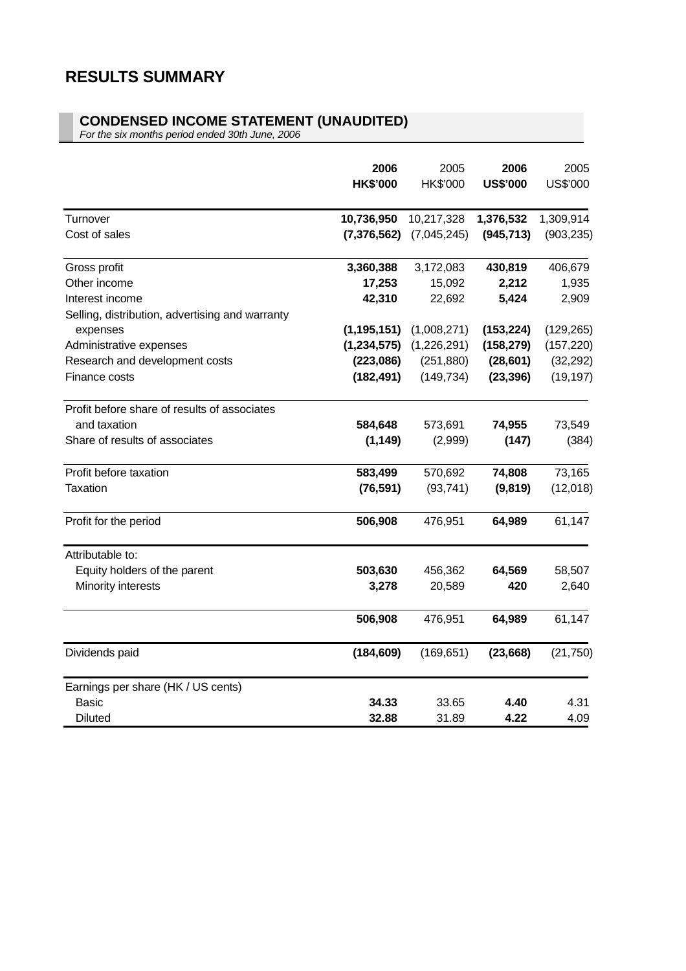### **CONDENSED INCOME STATEMENT (UNAUDITED)**

*For the six months period ended 30th June, 2006*

|                                                 | 2006<br><b>HK\$'000</b> | 2005<br>HK\$'000 | 2006<br><b>US\$'000</b> | 2005<br>US\$'000 |
|-------------------------------------------------|-------------------------|------------------|-------------------------|------------------|
| Turnover                                        | 10,736,950              | 10,217,328       | 1,376,532               | 1,309,914        |
| Cost of sales                                   | (7, 376, 562)           | (7,045,245)      | (945, 713)              | (903, 235)       |
| Gross profit                                    | 3,360,388               | 3,172,083        | 430,819                 | 406,679          |
| Other income                                    | 17,253                  | 15,092           | 2,212                   | 1,935            |
| Interest income                                 | 42,310                  | 22,692           | 5,424                   | 2,909            |
| Selling, distribution, advertising and warranty |                         |                  |                         |                  |
| expenses                                        | (1, 195, 151)           | (1,008,271)      | (153, 224)              | (129, 265)       |
| Administrative expenses                         | (1, 234, 575)           | (1,226,291)      | (158, 279)              | (157, 220)       |
| Research and development costs                  | (223,086)               | (251, 880)       | (28, 601)               | (32, 292)        |
| Finance costs                                   | (182, 491)              | (149, 734)       | (23, 396)               | (19, 197)        |
| Profit before share of results of associates    |                         |                  |                         |                  |
| and taxation                                    | 584,648                 | 573,691          | 74,955                  | 73,549           |
| Share of results of associates                  | (1, 149)                | (2,999)          | (147)                   | (384)            |
| Profit before taxation                          | 583,499                 | 570,692          | 74,808                  | 73,165           |
| <b>Taxation</b>                                 | (76, 591)               | (93, 741)        | (9,819)                 | (12,018)         |
| Profit for the period                           | 506,908                 | 476,951          | 64,989                  | 61,147           |
| Attributable to:                                |                         |                  |                         |                  |
| Equity holders of the parent                    | 503,630                 | 456,362          | 64,569                  | 58,507           |
| Minority interests                              | 3,278                   | 20,589           | 420                     | 2,640            |
|                                                 | 506,908                 | 476,951          | 64,989                  | 61,147           |
| Dividends paid                                  | (184, 609)              | (169, 651)       | (23, 668)               | (21, 750)        |
| Earnings per share (HK / US cents)              |                         |                  |                         |                  |
| <b>Basic</b>                                    | 34.33                   | 33.65            | 4.40                    | 4.31             |
| <b>Diluted</b>                                  | 32.88                   | 31.89            | 4.22                    | 4.09             |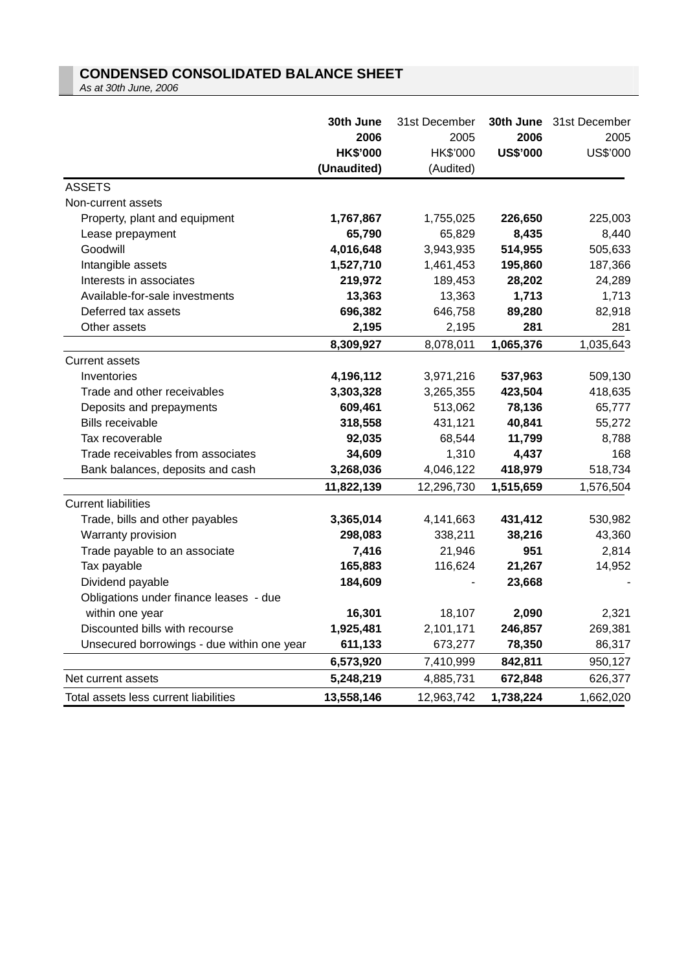# **CONDENSED CONSOLIDATED BALANCE SHEET**

*As at 30th June, 2006*

|                                            | 30th June<br>2006<br><b>HK\$'000</b> | 31st December<br>2005<br>HK\$'000 | 2006<br><b>US\$'000</b> | 30th June 31st December<br>2005<br>US\$'000 |
|--------------------------------------------|--------------------------------------|-----------------------------------|-------------------------|---------------------------------------------|
|                                            | (Unaudited)                          | (Audited)                         |                         |                                             |
| <b>ASSETS</b>                              |                                      |                                   |                         |                                             |
| Non-current assets                         |                                      |                                   |                         |                                             |
| Property, plant and equipment              | 1,767,867                            | 1,755,025                         | 226,650                 | 225,003                                     |
| Lease prepayment                           | 65,790                               | 65,829                            | 8,435                   | 8,440                                       |
| Goodwill                                   | 4,016,648                            | 3,943,935                         | 514,955                 | 505,633                                     |
| Intangible assets                          | 1,527,710                            | 1,461,453                         | 195,860                 | 187,366                                     |
| Interests in associates                    | 219,972                              | 189,453                           | 28,202                  | 24,289                                      |
| Available-for-sale investments             | 13,363                               | 13,363                            | 1,713                   | 1,713                                       |
| Deferred tax assets                        | 696,382                              | 646,758                           | 89,280                  | 82,918                                      |
| Other assets                               | 2,195                                | 2,195                             | 281                     | 281                                         |
|                                            | 8,309,927                            | 8,078,011                         | 1,065,376               | 1,035,643                                   |
| <b>Current assets</b>                      |                                      |                                   |                         |                                             |
| Inventories                                | 4,196,112                            | 3,971,216                         | 537,963                 | 509,130                                     |
| Trade and other receivables                | 3,303,328                            | 3,265,355                         | 423,504                 | 418,635                                     |
| Deposits and prepayments                   | 609,461                              | 513,062                           | 78,136                  | 65,777                                      |
| <b>Bills receivable</b>                    | 318,558                              | 431,121                           | 40,841                  | 55,272                                      |
| Tax recoverable                            | 92,035                               | 68,544                            | 11,799                  | 8,788                                       |
| Trade receivables from associates          | 34,609                               | 1,310                             | 4,437                   | 168                                         |
| Bank balances, deposits and cash           | 3,268,036                            | 4,046,122                         | 418,979                 | 518,734                                     |
|                                            | 11,822,139                           | 12,296,730                        | 1,515,659               | 1,576,504                                   |
| <b>Current liabilities</b>                 |                                      |                                   |                         |                                             |
| Trade, bills and other payables            | 3,365,014                            | 4,141,663                         | 431,412                 | 530,982                                     |
| Warranty provision                         | 298,083                              | 338,211                           | 38,216                  | 43,360                                      |
| Trade payable to an associate              | 7,416                                | 21,946                            | 951                     | 2,814                                       |
| Tax payable                                | 165,883                              | 116,624                           | 21,267                  | 14,952                                      |
| Dividend payable                           | 184,609                              |                                   | 23,668                  |                                             |
| Obligations under finance leases - due     |                                      |                                   |                         |                                             |
| within one year                            | 16,301                               | 18,107                            | 2,090                   | 2,321                                       |
| Discounted bills with recourse             | 1,925,481                            | 2,101,171                         | 246,857                 | 269,381                                     |
| Unsecured borrowings - due within one year | 611,133                              | 673,277                           | 78,350                  | 86,317                                      |
|                                            | 6,573,920                            | 7,410,999                         | 842,811                 | 950,127                                     |
| Net current assets                         | 5,248,219                            | 4,885,731                         | 672,848                 | 626,377                                     |
| Total assets less current liabilities      | 13,558,146                           | 12,963,742                        | 1,738,224               | 1,662,020                                   |